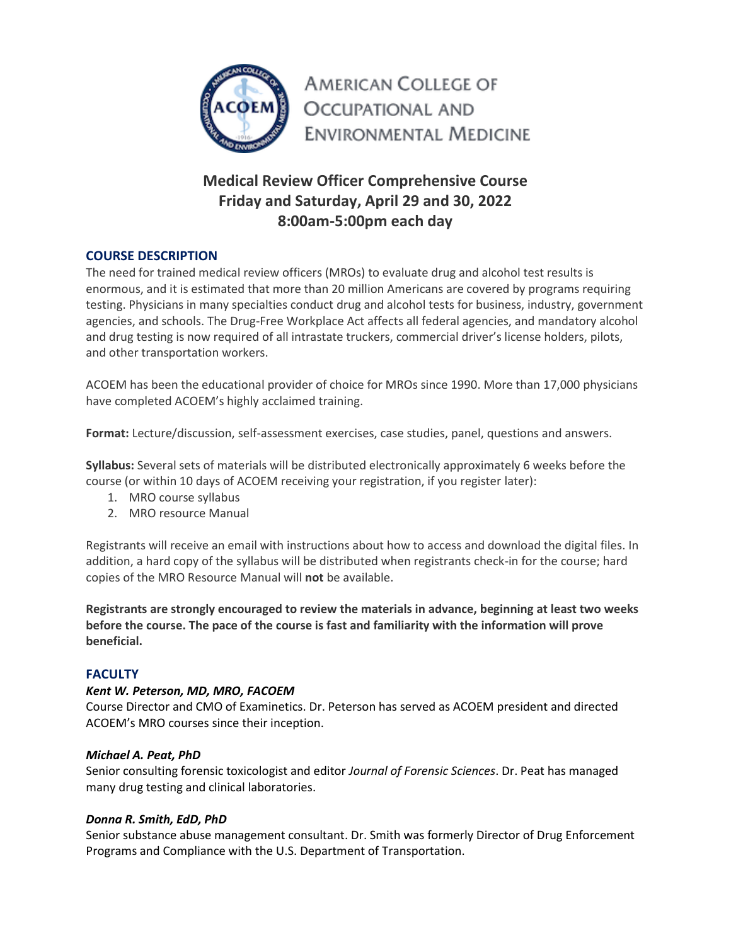

**AMERICAN COLLEGE OF OCCUPATIONAL AND ENVIRONMENTAL MEDICINE** 

# **Medical Review Officer Comprehensive Course Friday and Saturday, April 29 and 30, 2022 8:00am-5:00pm each day**

# **COURSE DESCRIPTION**

The need for trained medical review officers (MROs) to evaluate drug and alcohol test results is enormous, and it is estimated that more than 20 million Americans are covered by programs requiring testing. Physicians in many specialties conduct drug and alcohol tests for business, industry, government agencies, and schools. The Drug-Free Workplace Act affects all federal agencies, and mandatory alcohol and drug testing is now required of all intrastate truckers, commercial driver's license holders, pilots, and other transportation workers.

ACOEM has been the educational provider of choice for MROs since 1990. More than 17,000 physicians have completed ACOEM's highly acclaimed training.

**Format:** Lecture/discussion, self-assessment exercises, case studies, panel, questions and answers.

**Syllabus:** Several sets of materials will be distributed electronically approximately 6 weeks before the course (or within 10 days of ACOEM receiving your registration, if you register later):

- 1. MRO course syllabus
- 2. MRO resource Manual

Registrants will receive an email with instructions about how to access and download the digital files. In addition, a hard copy of the syllabus will be distributed when registrants check-in for the course; hard copies of the MRO Resource Manual will **not** be available.

**Registrants are strongly encouraged to review the materials in advance, beginning at least two weeks before the course. The pace of the course is fast and familiarity with the information will prove beneficial.**

## **FACULTY**

## *Kent W. Peterson, MD, MRO, FACOEM*

Course Director and CMO of Examinetics. Dr. Peterson has served as ACOEM president and directed ACOEM's MRO courses since their inception.

## *Michael A. Peat, PhD*

Senior consulting forensic toxicologist and editor *Journal of Forensic Sciences*. Dr. Peat has managed many drug testing and clinical laboratories.

## *Donna R. Smith, EdD, PhD*

Senior substance abuse management consultant. Dr. Smith was formerly Director of Drug Enforcement Programs and Compliance with the U.S. Department of Transportation.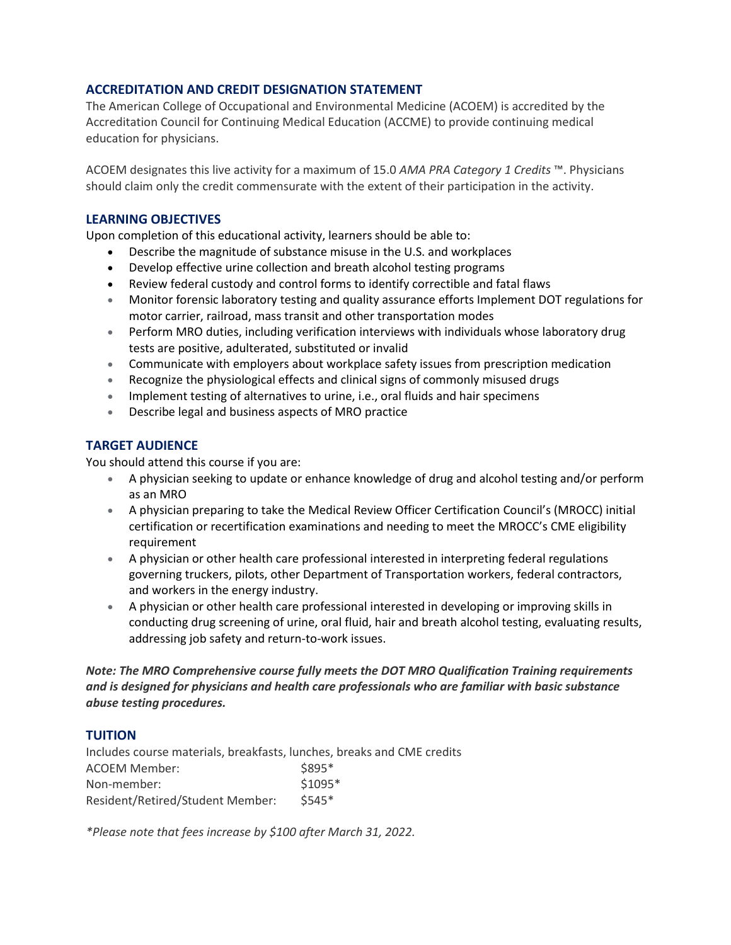## **ACCREDITATION AND CREDIT DESIGNATION STATEMENT**

The American College of Occupational and Environmental Medicine (ACOEM) is accredited by the Accreditation Council for Continuing Medical Education (ACCME) to provide continuing medical education for physicians.

ACOEM designates this live activity for a maximum of 15.0 *AMA PRA Category 1 Credits* ™. Physicians should claim only the credit commensurate with the extent of their participation in the activity.

## **LEARNING OBJECTIVES**

Upon completion of this educational activity, learners should be able to:

- Describe the magnitude of substance misuse in the U.S. and workplaces
- Develop effective urine collection and breath alcohol testing programs
- Review federal custody and control forms to identify correctible and fatal flaws
- Monitor forensic laboratory testing and quality assurance efforts Implement DOT regulations for motor carrier, railroad, mass transit and other transportation modes
- Perform MRO duties, including verification interviews with individuals whose laboratory drug tests are positive, adulterated, substituted or invalid
- Communicate with employers about workplace safety issues from prescription medication
- Recognize the physiological effects and clinical signs of commonly misused drugs
- Implement testing of alternatives to urine, i.e., oral fluids and hair specimens
- Describe legal and business aspects of MRO practice

# **TARGET AUDIENCE**

You should attend this course if you are:

- A physician seeking to update or enhance knowledge of drug and alcohol testing and/or perform as an MRO
- A physician preparing to take the Medical Review Officer Certification Council's (MROCC) initial certification or recertification examinations and needing to meet the MROCC's CME eligibility requirement
- A physician or other health care professional interested in interpreting federal regulations governing truckers, pilots, other Department of Transportation workers, federal contractors, and workers in the energy industry.
- A physician or other health care professional interested in developing or improving skills in conducting drug screening of urine, oral fluid, hair and breath alcohol testing, evaluating results, addressing job safety and return-to-work issues.

*Note: The MRO Comprehensive course fully meets the DOT MRO Qualification Training requirements and is designed for physicians and health care professionals who are familiar with basic substance abuse testing procedures.*

## **TUITION**

Includes course materials, breakfasts, lunches, breaks and CME credits ACOEM Member:  $$895*$ Non-member: \$1095\* Resident/Retired/Student Member: \$545\*

*\*Please note that fees increase by \$100 after March 31, 2022.*